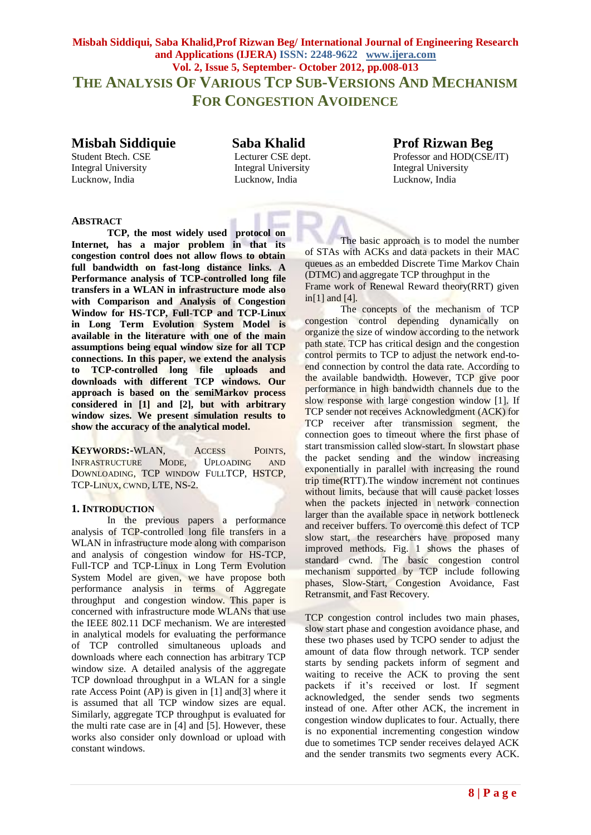**Misbah Siddiqui, Saba Khalid,Prof Rizwan Beg/ International Journal of Engineering Research and Applications (IJERA) ISSN: 2248-9622 www.ijera.com Vol. 2, Issue 5, September- October 2012, pp.008-013 THE ANALYSIS OF VARIOUS TCP SUB-VERSIONS AND MECHANISM FOR CONGESTION AVOIDENCE**

Integral University **Integral University** Integral University **Integral University** Lucknow, India Lucknow, India Lucknow, India

# **Misbah Siddiquie Saba Khalid Prof Rizwan Beg**

Student Btech. CSE Lecturer CSE dept. Professor and HOD(CSE/IT)

# **ABSTRACT**

**TCP, the most widely used protocol on Internet, has a major problem in that its congestion control does not allow flows to obtain full bandwidth on fast-long distance links. A Performance analysis of TCP-controlled long file transfers in a WLAN in infrastructure mode also with Comparison and Analysis of Congestion Window for HS-TCP, Full-TCP and TCP-Linux in Long Term Evolution System Model is available in the literature with one of the main assumptions being equal window size for all TCP connections. In this paper, we extend the analysis to TCP-controlled long file uploads and downloads with different TCP windows. Our approach is based on the semiMarkov process considered in [1] and [2], but with arbitrary window sizes. We present simulation results to show the accuracy of the analytical model.**

**KEYWORDS:-**WLAN, ACCESS POINTS, INFRASTRUCTURE MODE, UPLOADING AND DOWNLOADING, TCP WINDOW FULLTCP, HSTCP, TCP-LINUX, CWND, LTE, NS-2.

# **1. INTRODUCTION**

In the previous papers a performance analysis of TCP-controlled long file transfers in a WLAN in infrastructure mode along with comparison and analysis of congestion window for HS-TCP, Full-TCP and TCP-Linux in Long Term Evolution System Model are given, we have propose both performance analysis in terms of Aggregate throughput and congestion window. This paper is concerned with infrastructure mode WLANs that use the IEEE 802.11 DCF mechanism. We are interested in analytical models for evaluating the performance of TCP controlled simultaneous uploads and downloads where each connection has arbitrary TCP window size. A detailed analysis of the aggregate TCP download throughput in a WLAN for a single rate Access Point (AP) is given in [1] and[3] where it is assumed that all TCP window sizes are equal. Similarly, aggregate TCP throughput is evaluated for the multi rate case are in [4] and [5]. However, these works also consider only download or upload with constant windows.

The basic approach is to model the number of STAs with ACKs and data packets in their MAC queues as an embedded Discrete Time Markov Chain (DTMC) and aggregate TCP throughput in the Frame work of Renewal Reward theory(RRT) given in[1] and [4].

The concepts of the mechanism of TCP congestion control depending dynamically on organize the size of window according to the network path state. TCP has critical design and the congestion control permits to TCP to adjust the network end-toend connection by control the data rate. According to the available bandwidth. However, TCP give poor performance in high bandwidth channels due to the slow response with large congestion window [1]. If TCP sender not receives Acknowledgment (ACK) for TCP receiver after transmission segment, the connection goes to timeout where the first phase of start transmission called slow-start. In slowstart phase the packet sending and the window increasing exponentially in parallel with increasing the round trip time(RTT).The window increment not continues without limits, because that will cause packet losses when the packets injected in network connection larger than the available space in network bottleneck and receiver buffers. To overcome this defect of TCP slow start, the researchers have proposed many improved methods. Fig. 1 shows the phases of standard cwnd. The basic congestion control mechanism supported by TCP include following phases, Slow-Start, Congestion Avoidance, Fast Retransmit, and Fast Recovery.

TCP congestion control includes two main phases, slow start phase and congestion avoidance phase, and these two phases used by TCPO sender to adjust the amount of data flow through network. TCP sender starts by sending packets inform of segment and waiting to receive the ACK to proving the sent packets if it's received or lost. If segment acknowledged, the sender sends two segments instead of one. After other ACK, the increment in congestion window duplicates to four. Actually, there is no exponential incrementing congestion window due to sometimes TCP sender receives delayed ACK and the sender transmits two segments every ACK.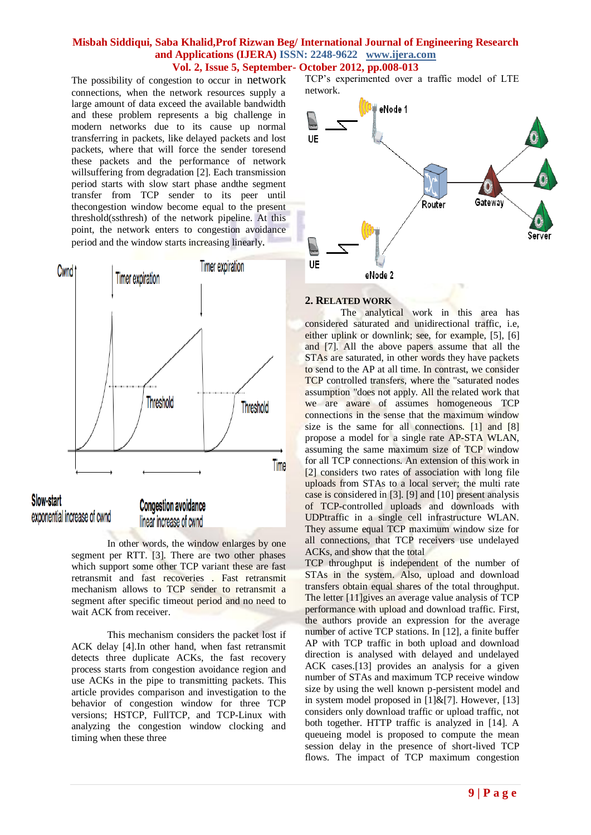The possibility of congestion to occur in network connections, when the network resources supply a large amount of data exceed the available bandwidth and these problem represents a big challenge in modern networks due to its cause up normal transferring in packets, like delayed packets and lost packets, where that will force the sender toresend these packets and the performance of network willsuffering from degradation [2]. Each transmission period starts with slow start phase andthe segment transfer from TCP sender to its peer until thecongestion window become equal to the present threshold(ssthresh) of the network pipeline. At this point, the network enters to congestion avoidance period and the window starts increasing linearly.



In other words, the window enlarges by one segment per RTT. [3]. There are two other phases which support some other TCP variant these are fast retransmit and fast recoveries . Fast retransmit mechanism allows to TCP sender to retransmit a segment after specific timeout period and no need to wait ACK from receiver.

This mechanism considers the packet lost if ACK delay [4].In other hand, when fast retransmit detects three duplicate ACKs, the fast recovery process starts from congestion avoidance region and use ACKs in the pipe to transmitting packets. This article provides comparison and investigation to the behavior of congestion window for three TCP versions; HSTCP, FullTCP, and TCP-Linux with analyzing the congestion window clocking and timing when these three

TCP's experimented over a traffic model of LTE network.



# **2. RELATED WORK**

The analytical work in this area has considered saturated and unidirectional traffic, i.e, either uplink or downlink; see, for example, [5], [6] and [7]. All the above papers assume that all the STAs are saturated, in other words they have packets to send to the AP at all time. In contrast, we consider TCP controlled transfers, where the "saturated nodes assumption "does not apply. All the related work that we are aware of assumes homogeneous TCP connections in the sense that the maximum window size is the same for all connections. [1] and [8] propose a model for a single rate AP-STA WLAN, assuming the same maximum size of TCP window for all TCP connections. An extension of this work in [2] considers two rates of association with long file uploads from STAs to a local server; the multi rate case is considered in [3]. [9] and [10] present analysis of TCP-controlled uploads and downloads with UDPtraffic in a single cell infrastructure WLAN. They assume equal TCP maximum window size for all connections, that TCP receivers use undelayed ACKs, and show that the total

TCP throughput is independent of the number of STAs in the system. Also, upload and download transfers obtain equal shares of the total throughput. The letter [11]gives an average value analysis of TCP performance with upload and download traffic. First, the authors provide an expression for the average number of active TCP stations. In [12], a finite buffer AP with TCP traffic in both upload and download direction is analysed with delayed and undelayed ACK cases.[13] provides an analysis for a given number of STAs and maximum TCP receive window size by using the well known p-persistent model and in system model proposed in  $[1]\&[7]$ . However, [13] considers only download traffic or upload traffic, not both together. HTTP traffic is analyzed in [14]. A queueing model is proposed to compute the mean session delay in the presence of short-lived TCP flows. The impact of TCP maximum congestion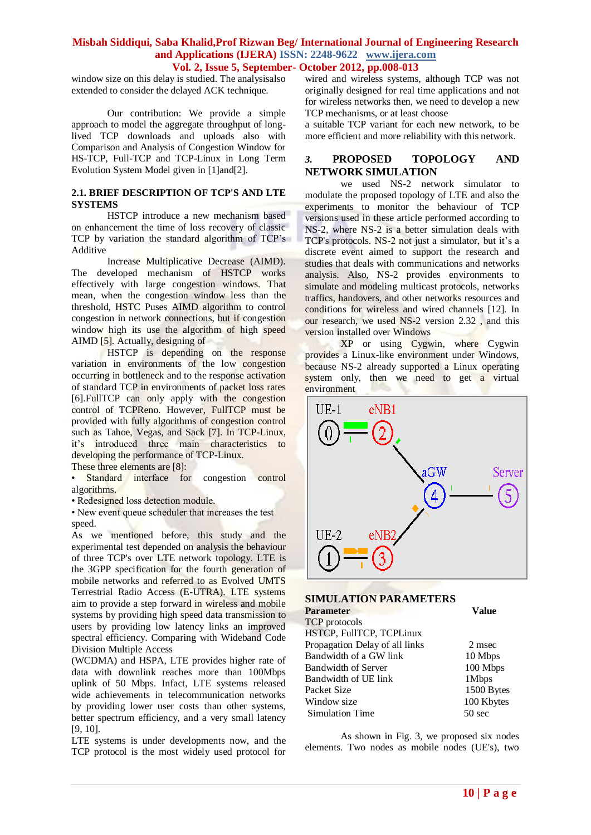window size on this delay is studied. The analysisalso extended to consider the delayed ACK technique.

Our contribution: We provide a simple approach to model the aggregate throughput of longlived TCP downloads and uploads also with Comparison and Analysis of Congestion Window for HS-TCP, Full-TCP and TCP-Linux in Long Term Evolution System Model given in [1]and[2].

#### **2.1. BRIEF DESCRIPTION OF TCP'S AND LTE SYSTEMS**

HSTCP introduce a new mechanism based on enhancement the time of loss recovery of classic TCP by variation the standard algorithm of TCP's Additive

Increase Multiplicative Decrease (AIMD). The developed mechanism of HSTCP works effectively with large congestion windows. That mean, when the congestion window less than the threshold, HSTC Puses AIMD algorithm to control congestion in network connections, but if congestion window high its use the algorithm of high speed AIMD [5]. Actually, designing of

HSTCP is depending on the response variation in environments of the low congestion occurring in bottleneck and to the response activation of standard TCP in environments of packet loss rates [6].FullTCP can only apply with the congestion control of TCPReno. However, FullTCP must be provided with fully algorithms of congestion control such as Tahoe, Vegas, and Sack [7]. In TCP-Linux, it's introduced three main characteristics to developing the performance of TCP-Linux.

These three elements are [8]:

**• Standard interface for congestion control** algorithms.

• Redesigned loss detection module.

• New event queue scheduler that increases the test speed.

As we mentioned before, this study and the experimental test depended on analysis the behaviour of three TCP's over LTE network topology. LTE is the 3GPP specification for the fourth generation of mobile networks and referred to as Evolved UMTS Terrestrial Radio Access (E-UTRA). LTE systems aim to provide a step forward in wireless and mobile systems by providing high speed data transmission to users by providing low latency links an improved spectral efficiency. Comparing with Wideband Code Division Multiple Access

(WCDMA) and HSPA, LTE provides higher rate of data with downlink reaches more than 100Mbps uplink of 50 Mbps. Infact, LTE systems released wide achievements in telecommunication networks by providing lower user costs than other systems, better spectrum efficiency, and a very small latency [9, 10].

LTE systems is under developments now, and the TCP protocol is the most widely used protocol for

wired and wireless systems, although TCP was not originally designed for real time applications and not for wireless networks then, we need to develop a new TCP mechanisms, or at least choose

a suitable TCP variant for each new network, to be more efficient and more reliability with this network.

# *3.* **PROPOSED TOPOLOGY AND NETWORK SIMULATION**

we used NS-2 network simulator to modulate the proposed topology of LTE and also the experiments to monitor the behaviour of TCP versions used in these article performed according to NS-2, where NS-2 is a better simulation deals with TCP's protocols. NS-2 not just a simulator, but it's a discrete event aimed to support the research and studies that deals with communications and networks analysis. Also, NS-2 provides environments to simulate and modeling multicast protocols, networks traffics, handovers, and other networks resources and conditions for wireless and wired channels [12]. In our research, we used NS-2 version 2.32 , and this version installed over Windows

XP or using Cygwin, where Cygwin provides a Linux-like environment under Windows, because NS-2 already supported a Linux operating system only, then we need to get a virtual environment



#### **SIMULATION PARAMETERS**

| <b>Parameter</b>               | <b>Value</b>     |
|--------------------------------|------------------|
| <b>TCP</b> protocols           |                  |
| HSTCP, FullTCP, TCPLinux       |                  |
| Propagation Delay of all links | 2 msec           |
| Bandwidth of a GW link         | 10 Mbps          |
| <b>Bandwidth of Server</b>     | 100 Mbps         |
| Bandwidth of UE link           | 1Mbps            |
| Packet Size                    | 1500 Bytes       |
| Window size                    | 100 Kbytes       |
| <b>Simulation Time</b>         | $50 \text{ sec}$ |

As shown in Fig. 3, we proposed six nodes elements. Two nodes as mobile nodes (UE's), two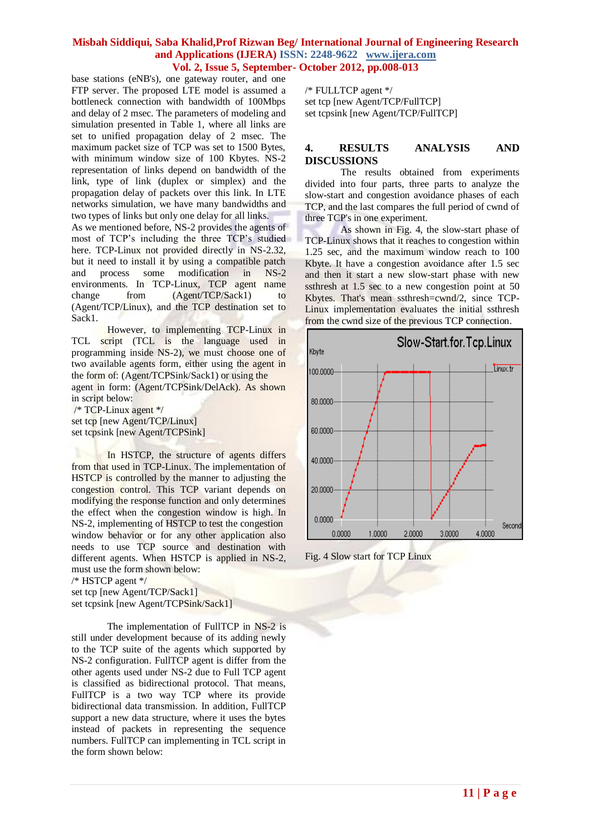base stations (eNB's), one gateway router, and one FTP server. The proposed LTE model is assumed a bottleneck connection with bandwidth of 100Mbps and delay of 2 msec. The parameters of modeling and simulation presented in Table 1, where all links are set to unified propagation delay of 2 msec. The maximum packet size of TCP was set to 1500 Bytes, with minimum window size of 100 Kbytes. NS-2 representation of links depend on bandwidth of the link, type of link (duplex or simplex) and the propagation delay of packets over this link. In LTE networks simulation, we have many bandwidths and two types of links but only one delay for all links.

As we mentioned before, NS-2 provides the agents of most of TCP's including the three TCP's studied here. TCP-Linux not provided directly in NS-2.32, but it need to install it by using a compatible patch and process some modification in NS-2 environments. In TCP-Linux, TCP agent name change from  $(Agent/TCP/Sack1)$  to (Agent/TCP/Linux), and the TCP destination set to Sack1.

However, to implementing TCP-Linux in TCL script (TCL is the language used in programming inside NS-2), we must choose one of two available agents form, either using the agent in the form of: (Agent/TCPSink/Sack1) or using the

agent in form: (Agent/TCPSink/DelAck). As shown in script below:

/\* TCP-Linux agent \*/ set tcp [new Agent/TCP/Linux] set tcpsink [new Agent/TCPSink]

In HSTCP, the structure of agents differs from that used in TCP-Linux. The implementation of HSTCP is controlled by the manner to adjusting the congestion control. This TCP variant depends on modifying the response function and only determines the effect when the congestion window is high. In NS-2, implementing of HSTCP to test the congestion window behavior or for any other application also needs to use TCP source and destination with different agents. When HSTCP is applied in NS-2, must use the form shown below:

/\* HSTCP agent \*/

set tcp [new Agent/TCP/Sack1] set tcpsink [new Agent/TCPSink/Sack1]

The implementation of FullTCP in NS-2 is still under development because of its adding newly to the TCP suite of the agents which supported by NS-2 configuration. FullTCP agent is differ from the other agents used under NS-2 due to Full TCP agent is classified as bidirectional protocol. That means, FullTCP is a two way TCP where its provide bidirectional data transmission. In addition, FullTCP support a new data structure, where it uses the bytes instead of packets in representing the sequence numbers. FullTCP can implementing in TCL script in the form shown below:

/\* FULLTCP agent \*/ set tcp [new Agent/TCP/FullTCP] set tcpsink [new Agent/TCP/FullTCP]

# **4. RESULTS ANALYSIS AND DISCUSSIONS**

The results obtained from experiments divided into four parts, three parts to analyze the slow-start and congestion avoidance phases of each TCP, and the last compares the full period of cwnd of three TCP's in one experiment.

As shown in Fig. 4, the slow-start phase of TCP-Linux shows that it reaches to congestion within 1.25 sec, and the maximum window reach to 100 Kbyte. It have a congestion avoidance after 1.5 sec and then it start a new slow-start phase with new ssthresh at 1.5 sec to a new congestion point at 50 Kbytes. That's mean ssthresh=cwnd/2, since TCP-Linux implementation evaluates the initial ssthresh from the cwnd size of the previous TCP connection.



Fig. 4 Slow start for TCP Linux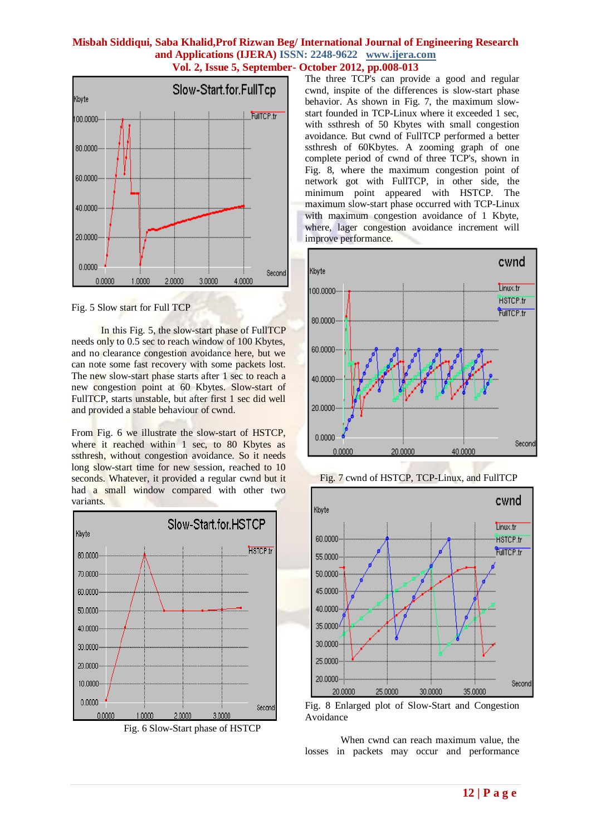

Fig. 5 Slow start for Full TCP

 In this Fig. 5, the slow-start phase of FullTCP needs only to 0.5 sec to reach window of 100 Kbytes, and no clearance congestion avoidance here, but we can note some fast recovery with some packets lost. The new slow-start phase starts after 1 sec to reach a new congestion point at 60 Kbytes. Slow-start of FullTCP, starts unstable, but after first 1 sec did well and provided a stable behaviour of cwnd.

From Fig. 6 we illustrate the slow-start of HSTCP, where it reached within 1 sec, to 80 Kbytes as ssthresh, without congestion avoidance. So it needs long slow-start time for new session, reached to 10 seconds. Whatever, it provided a regular cwnd but it had a small window compared with other two variants.



Fig. 6 Slow-Start phase of HSTCP

The three TCP's can provide a good and regular cwnd, inspite of the differences is slow-start phase behavior. As shown in Fig. 7, the maximum slowstart founded in TCP-Linux where it exceeded 1 sec, with ssthresh of 50 Kbytes with small congestion avoidance. But cwnd of FullTCP performed a better ssthresh of 60Kbytes. A zooming graph of one complete period of cwnd of three TCP's, shown in Fig. 8, where the maximum congestion point of network got with FullTCP, in other side, the minimum point appeared with HSTCP. The maximum slow-start phase occurred with TCP-Linux with maximum congestion avoidance of 1 Kbyte, where, lager congestion avoidance increment will improve performance.



Fig. 7 cwnd of HSTCP, TCP-Linux, and FullTCP



Fig. 8 Enlarged plot of Slow-Start and Congestion Avoidance

When cwnd can reach maximum value, the losses in packets may occur and performance